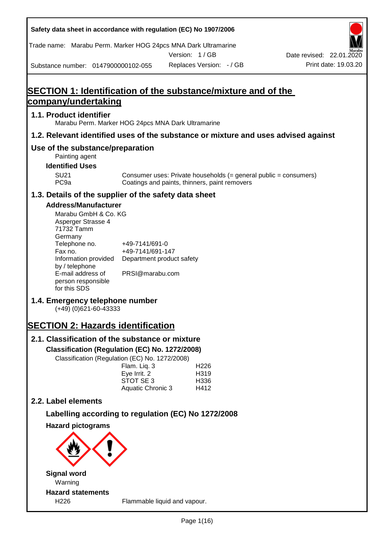| Safety data sheet in accordance with regulation (EC) No 1907/2006                                                                                                        |                                                                 |               |                                                                                                                   |                          |
|--------------------------------------------------------------------------------------------------------------------------------------------------------------------------|-----------------------------------------------------------------|---------------|-------------------------------------------------------------------------------------------------------------------|--------------------------|
| Trade name: Marabu Perm. Marker HOG 24pcs MNA Dark Ultramarine                                                                                                           |                                                                 | Version: 1/GB |                                                                                                                   | Date revised: 22.01.2020 |
| Substance number: 0147900000102-055                                                                                                                                      |                                                                 |               | Replaces Version: - / GB                                                                                          | Print date: 19.03.20     |
|                                                                                                                                                                          |                                                                 |               |                                                                                                                   |                          |
| <b>SECTION 1: Identification of the substance/mixture and of the</b>                                                                                                     |                                                                 |               |                                                                                                                   |                          |
| <u>company/undertaking</u>                                                                                                                                               |                                                                 |               |                                                                                                                   |                          |
| 1.1. Product identifier<br>Marabu Perm. Marker HOG 24pcs MNA Dark Ultramarine                                                                                            |                                                                 |               |                                                                                                                   |                          |
| 1.2. Relevant identified uses of the substance or mixture and uses advised against                                                                                       |                                                                 |               |                                                                                                                   |                          |
| Use of the substance/preparation<br>Painting agent                                                                                                                       |                                                                 |               |                                                                                                                   |                          |
| <b>Identified Uses</b>                                                                                                                                                   |                                                                 |               |                                                                                                                   |                          |
| <b>SU21</b><br>PC <sub>9a</sub>                                                                                                                                          |                                                                 |               | Consumer uses: Private households (= general public = consumers)<br>Coatings and paints, thinners, paint removers |                          |
| 1.3. Details of the supplier of the safety data sheet                                                                                                                    |                                                                 |               |                                                                                                                   |                          |
| <b>Address/Manufacturer</b><br>Marabu GmbH & Co. KG<br>Asperger Strasse 4<br>71732 Tamm<br>Germany<br>Telephone no.<br>Fax no.<br>Information provided<br>by / telephone | +49-7141/691-0<br>+49-7141/691-147<br>Department product safety |               |                                                                                                                   |                          |
| E-mail address of<br>person responsible<br>for this SDS                                                                                                                  | PRSI@marabu.com                                                 |               |                                                                                                                   |                          |
| 1.4. Emergency telephone number<br>$(+49)$ (0)621-60-43333                                                                                                               |                                                                 |               |                                                                                                                   |                          |
| <b>SECTION 2: Hazards identification</b>                                                                                                                                 |                                                                 |               |                                                                                                                   |                          |
| 2.1. Classification of the substance or mixture                                                                                                                          |                                                                 |               |                                                                                                                   |                          |
| Classification (Regulation (EC) No. 1272/2008)<br>Classification (Regulation (EC) No. 1272/2008)                                                                         |                                                                 |               |                                                                                                                   |                          |
|                                                                                                                                                                          | Flam. Liq. 3<br>Eye Irrit. 2<br>STOT SE 3<br>Aquatic Chronic 3  |               | H <sub>226</sub><br>H319<br>H336<br>H412                                                                          |                          |
| 2.2. Label elements                                                                                                                                                      |                                                                 |               |                                                                                                                   |                          |
| Labelling according to regulation (EC) No 1272/2008                                                                                                                      |                                                                 |               |                                                                                                                   |                          |
| <b>Hazard pictograms</b>                                                                                                                                                 |                                                                 |               |                                                                                                                   |                          |
|                                                                                                                                                                          |                                                                 |               |                                                                                                                   |                          |
| <b>Signal word</b>                                                                                                                                                       |                                                                 |               |                                                                                                                   |                          |
| Warning<br><b>Hazard statements</b>                                                                                                                                      |                                                                 |               |                                                                                                                   |                          |
| H226                                                                                                                                                                     | Flammable liquid and vapour.                                    |               |                                                                                                                   |                          |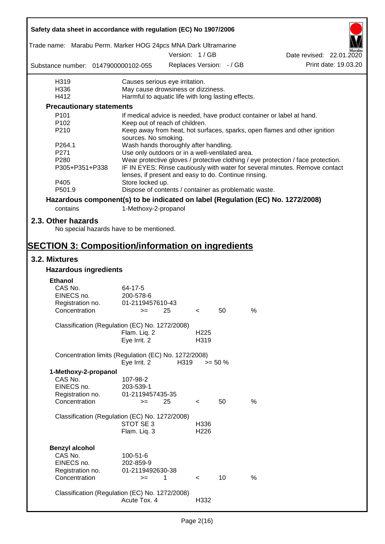| Safety data sheet in accordance with regulation (EC) No 1907/2006               |                                                       |      |                          |                          |      |                                                                                  |  |
|---------------------------------------------------------------------------------|-------------------------------------------------------|------|--------------------------|--------------------------|------|----------------------------------------------------------------------------------|--|
| Trade name: Marabu Perm. Marker HOG 24pcs MNA Dark Ultramarine                  |                                                       |      |                          |                          |      |                                                                                  |  |
|                                                                                 |                                                       |      | Version: 1/GB            |                          |      | Date revised: 22.01.2020                                                         |  |
| Substance number: 0147900000102-055                                             |                                                       |      |                          | Replaces Version: - / GB |      | Print date: 19.03.20                                                             |  |
| H319                                                                            | Causes serious eye irritation.                        |      |                          |                          |      |                                                                                  |  |
| H336                                                                            | May cause drowsiness or dizziness.                    |      |                          |                          |      |                                                                                  |  |
| H412                                                                            | Harmful to aquatic life with long lasting effects.    |      |                          |                          |      |                                                                                  |  |
| <b>Precautionary statements</b>                                                 |                                                       |      |                          |                          |      |                                                                                  |  |
| P <sub>101</sub>                                                                |                                                       |      |                          |                          |      | If medical advice is needed, have product container or label at hand.            |  |
| P102                                                                            | Keep out of reach of children.                        |      |                          |                          |      |                                                                                  |  |
| P210                                                                            | sources. No smoking.                                  |      |                          |                          |      | Keep away from heat, hot surfaces, sparks, open flames and other ignition        |  |
| P264.1                                                                          | Wash hands thoroughly after handling.                 |      |                          |                          |      |                                                                                  |  |
| P271                                                                            | Use only outdoors or in a well-ventilated area.       |      |                          |                          |      |                                                                                  |  |
| P280                                                                            |                                                       |      |                          |                          |      | Wear protective gloves / protective clothing / eye protection / face protection. |  |
| P305+P351+P338                                                                  | lenses, if present and easy to do. Continue rinsing.  |      |                          |                          |      | IF IN EYES: Rinse cautiously with water for several minutes. Remove contact      |  |
| P405                                                                            | Store locked up.                                      |      |                          |                          |      |                                                                                  |  |
| P501.9                                                                          | Dispose of contents / container as problematic waste. |      |                          |                          |      |                                                                                  |  |
| Hazardous component(s) to be indicated on label (Regulation (EC) No. 1272/2008) |                                                       |      |                          |                          |      |                                                                                  |  |
| contains                                                                        | 1-Methoxy-2-propanol                                  |      |                          |                          |      |                                                                                  |  |
| 2.3. Other hazards                                                              |                                                       |      |                          |                          |      |                                                                                  |  |
| No special hazards have to be mentioned.                                        |                                                       |      |                          |                          |      |                                                                                  |  |
| <b>SECTION 3: Composition/information on ingredients</b>                        |                                                       |      |                          |                          |      |                                                                                  |  |
| 3.2. Mixtures                                                                   |                                                       |      |                          |                          |      |                                                                                  |  |
| <b>Hazardous ingredients</b>                                                    |                                                       |      |                          |                          |      |                                                                                  |  |
| <b>Ethanol</b>                                                                  |                                                       |      |                          |                          |      |                                                                                  |  |
| CAS No.                                                                         | 64-17-5                                               |      |                          |                          |      |                                                                                  |  |
| EINECS no.                                                                      | 200-578-6                                             |      |                          |                          |      |                                                                                  |  |
| Registration no.                                                                | 01-2119457610-43                                      |      |                          |                          |      |                                                                                  |  |
| Concentration                                                                   | $>=$ 25                                               |      | $\leq$                   | 50                       | %    |                                                                                  |  |
|                                                                                 |                                                       |      |                          |                          |      |                                                                                  |  |
| Classification (Regulation (EC) No. 1272/2008)                                  |                                                       |      |                          |                          |      |                                                                                  |  |
|                                                                                 | Flam. Liq. 2                                          |      | H <sub>225</sub>         |                          |      |                                                                                  |  |
|                                                                                 | Eye Irrit. 2                                          |      | H319                     |                          |      |                                                                                  |  |
| Concentration limits (Regulation (EC) No. 1272/2008)                            |                                                       |      |                          |                          |      |                                                                                  |  |
|                                                                                 | Eye Irrit. 2                                          | H319 |                          | $>= 50 \%$               |      |                                                                                  |  |
| 1-Methoxy-2-propanol                                                            |                                                       |      |                          |                          |      |                                                                                  |  |
| CAS No.                                                                         | 107-98-2                                              |      |                          |                          |      |                                                                                  |  |
| EINECS no.                                                                      | 203-539-1                                             |      |                          |                          |      |                                                                                  |  |
| Registration no.                                                                | 01-2119457435-35                                      |      |                          |                          |      |                                                                                  |  |
| Concentration                                                                   | $>=$                                                  | 25   | $\,<\,$                  | 50                       | %    |                                                                                  |  |
| Classification (Regulation (EC) No. 1272/2008)                                  |                                                       |      |                          |                          |      |                                                                                  |  |
|                                                                                 | STOT SE 3                                             |      | H336                     |                          |      |                                                                                  |  |
|                                                                                 | Flam. Liq. 3                                          |      | H <sub>226</sub>         |                          |      |                                                                                  |  |
|                                                                                 |                                                       |      |                          |                          |      |                                                                                  |  |
| <b>Benzyl alcohol</b>                                                           |                                                       |      |                          |                          |      |                                                                                  |  |
| CAS No.                                                                         | 100-51-6                                              |      |                          |                          |      |                                                                                  |  |
| EINECS no.                                                                      | 202-859-9                                             |      |                          |                          |      |                                                                                  |  |
| Registration no.                                                                | 01-2119492630-38                                      |      |                          |                          |      |                                                                                  |  |
| Concentration                                                                   | $>=$                                                  | 1    | $\overline{\phantom{a}}$ | 10                       | $\%$ |                                                                                  |  |
|                                                                                 |                                                       |      |                          |                          |      |                                                                                  |  |
| Classification (Regulation (EC) No. 1272/2008)                                  |                                                       |      |                          |                          |      |                                                                                  |  |
|                                                                                 | Acute Tox. 4                                          |      | H332                     |                          |      |                                                                                  |  |
|                                                                                 |                                                       |      |                          |                          |      |                                                                                  |  |

 $\mathbf{r}$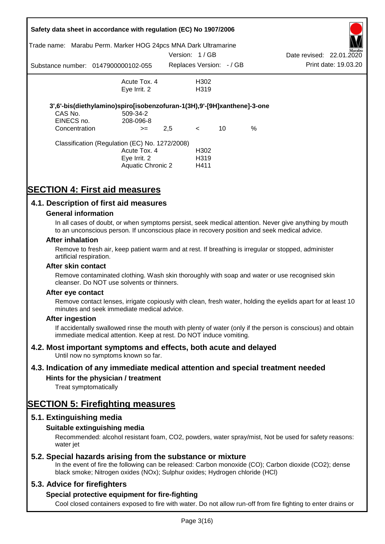|                       | Safety data sheet in accordance with regulation (EC) No 1907/2006<br>Trade name: Marabu Perm. Marker HOG 24pcs MNA Dark Ultramarine |               |                                               |    |      |                          | Aarabu               |
|-----------------------|-------------------------------------------------------------------------------------------------------------------------------------|---------------|-----------------------------------------------|----|------|--------------------------|----------------------|
|                       |                                                                                                                                     | Version: 1/GB |                                               |    |      | Date revised: 22.01.2020 |                      |
|                       | Substance number: 0147900000102-055                                                                                                 |               | Replaces Version: -/ GB                       |    |      |                          | Print date: 19.03.20 |
|                       | Acute Tox, 4                                                                                                                        |               | H302                                          |    |      |                          |                      |
|                       | Eye Irrit. 2                                                                                                                        |               | H319                                          |    |      |                          |                      |
| CAS No.<br>EINECS no. | 3',6'-bis(diethylamino)spiro[isobenzofuran-1(3H),9'-[9H]xanthene]-3-one<br>509-34-2<br>208-096-8                                    |               |                                               |    |      |                          |                      |
| Concentration         | $>=$                                                                                                                                | 2,5           | $\lt$                                         | 10 | $\%$ |                          |                      |
|                       | Classification (Regulation (EC) No. 1272/2008)<br>Acute Tox. 4<br>Eye Irrit. 2<br><b>Aquatic Chronic 2</b>                          |               | H <sub>302</sub><br>H <sub>3</sub> 19<br>H411 |    |      |                          |                      |

# **SECTION 4: First aid measures**

## **4.1. Description of first aid measures**

### **General information**

In all cases of doubt, or when symptoms persist, seek medical attention. Never give anything by mouth to an unconscious person. If unconscious place in recovery position and seek medical advice.

#### **After inhalation**

Remove to fresh air, keep patient warm and at rest. If breathing is irregular or stopped, administer artificial respiration.

#### **After skin contact**

Remove contaminated clothing. Wash skin thoroughly with soap and water or use recognised skin cleanser. Do NOT use solvents or thinners.

#### **After eye contact**

Remove contact lenses, irrigate copiously with clean, fresh water, holding the eyelids apart for at least 10 minutes and seek immediate medical advice.

#### **After ingestion**

If accidentally swallowed rinse the mouth with plenty of water (only if the person is conscious) and obtain immediate medical attention. Keep at rest. Do NOT induce vomiting.

### **4.2. Most important symptoms and effects, both acute and delayed**

Until now no symptoms known so far.

### **4.3. Indication of any immediate medical attention and special treatment needed**

### **Hints for the physician / treatment**

Treat symptomatically

# **SECTION 5: Firefighting measures**

### **5.1. Extinguishing media**

### **Suitable extinguishing media**

Recommended: alcohol resistant foam, CO2, powders, water spray/mist, Not be used for safety reasons: water *iet* 

### **5.2. Special hazards arising from the substance or mixture**

In the event of fire the following can be released: Carbon monoxide (CO); Carbon dioxide (CO2); dense black smoke; Nitrogen oxides (NOx); Sulphur oxides; Hydrogen chloride (HCl)

### **5.3. Advice for firefighters**

### **Special protective equipment for fire-fighting**

Cool closed containers exposed to fire with water. Do not allow run-off from fire fighting to enter drains or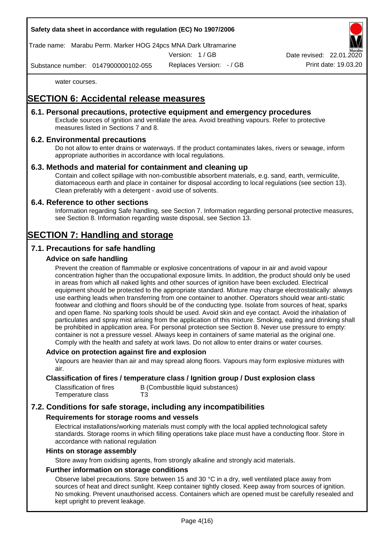Trade name: Marabu Perm. Marker HOG 24pcs MNA Dark Ultramarine

Version: 1 / GB

Replaces Version: - / GB Print date: 19.03.20 Date revised: 22.01.

Substance number: 0147900000102-055

water courses.

# **SECTION 6: Accidental release measures**

### **6.1. Personal precautions, protective equipment and emergency procedures**

Exclude sources of ignition and ventilate the area. Avoid breathing vapours. Refer to protective measures listed in Sections 7 and 8.

## **6.2. Environmental precautions**

Do not allow to enter drains or waterways. If the product contaminates lakes, rivers or sewage, inform appropriate authorities in accordance with local regulations.

## **6.3. Methods and material for containment and cleaning up**

Contain and collect spillage with non-combustible absorbent materials, e.g. sand, earth, vermiculite, diatomaceous earth and place in container for disposal according to local regulations (see section 13). Clean preferably with a detergent - avoid use of solvents.

### **6.4. Reference to other sections**

Information regarding Safe handling, see Section 7. Information regarding personal protective measures, see Section 8. Information regarding waste disposal, see Section 13.

# **SECTION 7: Handling and storage**

## **7.1. Precautions for safe handling**

## **Advice on safe handling**

Prevent the creation of flammable or explosive concentrations of vapour in air and avoid vapour concentration higher than the occupational exposure limits. In addition, the product should only be used in areas from which all naked lights and other sources of ignition have been excluded. Electrical equipment should be protected to the appropriate standard. Mixture may charge electrostatically: always use earthing leads when transferring from one container to another. Operators should wear anti-static footwear and clothing and floors should be of the conducting type. Isolate from sources of heat, sparks and open flame. No sparking tools should be used. Avoid skin and eye contact. Avoid the inhalation of particulates and spray mist arising from the application of this mixture. Smoking, eating and drinking shall be prohibited in application area. For personal protection see Section 8. Never use pressure to empty: container is not a pressure vessel. Always keep in containers of same material as the original one. Comply with the health and safety at work laws. Do not allow to enter drains or water courses.

### **Advice on protection against fire and explosion**

Vapours are heavier than air and may spread along floors. Vapours may form explosive mixtures with air.

### **Classification of fires / temperature class / Ignition group / Dust explosion class**

| Classification of fires | B (Combustible liquid substances) |
|-------------------------|-----------------------------------|
| Temperature class       | T3                                |

# **7.2. Conditions for safe storage, including any incompatibilities**

### **Requirements for storage rooms and vessels**

Electrical installations/working materials must comply with the local applied technological safety standards. Storage rooms in which filling operations take place must have a conducting floor. Store in accordance with national regulation

#### **Hints on storage assembly**

Store away from oxidising agents, from strongly alkaline and strongly acid materials.

### **Further information on storage conditions**

Observe label precautions. Store between 15 and 30 °C in a dry, well ventilated place away from sources of heat and direct sunlight. Keep container tightly closed. Keep away from sources of ignition. No smoking. Prevent unauthorised access. Containers which are opened must be carefully resealed and kept upright to prevent leakage.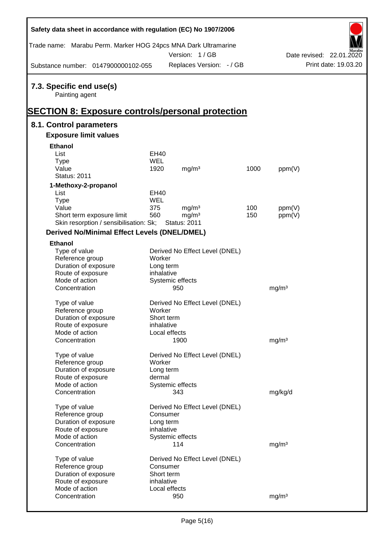| Safety data sheet in accordance with regulation (EC) No 1907/2006 |                          |                                           |      |                   |                      |  |  |
|-------------------------------------------------------------------|--------------------------|-------------------------------------------|------|-------------------|----------------------|--|--|
| Trade name: Marabu Perm. Marker HOG 24pcs MNA Dark Ultramarine    |                          | Date revised: 22.01.2020                  |      |                   |                      |  |  |
| Substance number: 0147900000102-055                               |                          | Version: 1/GB<br>Replaces Version: - / GB |      |                   | Print date: 19.03.20 |  |  |
| 7.3. Specific end use(s)<br>Painting agent                        |                          |                                           |      |                   |                      |  |  |
| <b>SECTION 8: Exposure controls/personal protection</b>           |                          |                                           |      |                   |                      |  |  |
| 8.1. Control parameters<br><b>Exposure limit values</b>           |                          |                                           |      |                   |                      |  |  |
|                                                                   |                          |                                           |      |                   |                      |  |  |
| <b>Ethanol</b><br>List                                            | <b>EH40</b>              |                                           |      |                   |                      |  |  |
| <b>Type</b>                                                       | <b>WEL</b>               |                                           |      |                   |                      |  |  |
| Value                                                             | 1920                     | mg/m <sup>3</sup>                         | 1000 | ppm(V)            |                      |  |  |
| <b>Status: 2011</b>                                               |                          |                                           |      |                   |                      |  |  |
| 1-Methoxy-2-propanol                                              |                          |                                           |      |                   |                      |  |  |
| List                                                              | EH40                     |                                           |      |                   |                      |  |  |
| <b>Type</b><br>Value                                              | WEL<br>375               | mg/m <sup>3</sup>                         | 100  | ppm(V)            |                      |  |  |
| Short term exposure limit                                         | 560                      | mg/m <sup>3</sup>                         | 150  | ppm(V)            |                      |  |  |
| Skin resorption / sensibilisation: Sk;                            |                          | <b>Status: 2011</b>                       |      |                   |                      |  |  |
| <b>Derived No/Minimal Effect Levels (DNEL/DMEL)</b>               |                          |                                           |      |                   |                      |  |  |
| <b>Ethanol</b>                                                    |                          |                                           |      |                   |                      |  |  |
| Type of value                                                     |                          | Derived No Effect Level (DNEL)            |      |                   |                      |  |  |
| Reference group                                                   | Worker                   |                                           |      |                   |                      |  |  |
| Duration of exposure                                              | Long term                |                                           |      |                   |                      |  |  |
| Route of exposure<br>Mode of action                               | inhalative               | Systemic effects                          |      |                   |                      |  |  |
| Concentration                                                     |                          | 950                                       |      | mg/m <sup>3</sup> |                      |  |  |
|                                                                   |                          |                                           |      |                   |                      |  |  |
| Type of value                                                     |                          | Derived No Effect Level (DNEL)            |      |                   |                      |  |  |
| Reference group                                                   | Worker                   |                                           |      |                   |                      |  |  |
| Duration of exposure<br>Route of exposure                         | Short term<br>inhalative |                                           |      |                   |                      |  |  |
| Mode of action                                                    |                          | Local effects                             |      |                   |                      |  |  |
| Concentration                                                     |                          | 1900                                      |      | mg/m <sup>3</sup> |                      |  |  |
|                                                                   |                          |                                           |      |                   |                      |  |  |
| Type of value                                                     |                          | Derived No Effect Level (DNEL)            |      |                   |                      |  |  |
| Reference group<br>Duration of exposure                           | Worker<br>Long term      |                                           |      |                   |                      |  |  |
| Route of exposure                                                 | dermal                   |                                           |      |                   |                      |  |  |
| Mode of action                                                    |                          | Systemic effects                          |      |                   |                      |  |  |
| Concentration                                                     |                          | 343                                       |      | mg/kg/d           |                      |  |  |
| Type of value                                                     |                          | Derived No Effect Level (DNEL)            |      |                   |                      |  |  |
| Reference group                                                   | Consumer                 |                                           |      |                   |                      |  |  |
| Duration of exposure                                              | Long term                |                                           |      |                   |                      |  |  |
| Route of exposure                                                 | inhalative               |                                           |      |                   |                      |  |  |
| Mode of action                                                    |                          | Systemic effects                          |      |                   |                      |  |  |
| Concentration                                                     |                          | 114                                       |      | mg/m <sup>3</sup> |                      |  |  |
| Type of value                                                     |                          | Derived No Effect Level (DNEL)            |      |                   |                      |  |  |
| Reference group                                                   | Consumer                 |                                           |      |                   |                      |  |  |
| Duration of exposure                                              | Short term               |                                           |      |                   |                      |  |  |
| Route of exposure                                                 | inhalative               |                                           |      |                   |                      |  |  |
| Mode of action                                                    |                          | Local effects                             |      |                   |                      |  |  |
| Concentration                                                     |                          | 950                                       |      | mg/m <sup>3</sup> |                      |  |  |

 $\overline{a}$ 

 $\Gamma$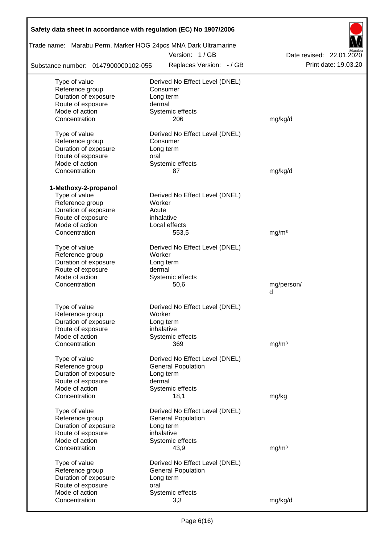| Safety data sheet in accordance with regulation (EC) No 1907/2006 |                                |                          |                          |  |  |  |
|-------------------------------------------------------------------|--------------------------------|--------------------------|--------------------------|--|--|--|
| Trade name: Marabu Perm. Marker HOG 24pcs MNA Dark Ultramarine    | Version: 1/GB                  |                          | Date revised: 22.01.2020 |  |  |  |
| Substance number: 0147900000102-055                               |                                | Replaces Version: - / GB | Print date: 19.03.20     |  |  |  |
| Type of value                                                     | Derived No Effect Level (DNEL) |                          |                          |  |  |  |
| Reference group                                                   | Consumer                       |                          |                          |  |  |  |
| Duration of exposure                                              | Long term                      |                          |                          |  |  |  |
| Route of exposure                                                 | dermal                         |                          |                          |  |  |  |
| Mode of action                                                    | Systemic effects               |                          |                          |  |  |  |
| Concentration                                                     | 206                            |                          | mg/kg/d                  |  |  |  |
| Type of value                                                     | Derived No Effect Level (DNEL) |                          |                          |  |  |  |
| Reference group                                                   | Consumer                       |                          |                          |  |  |  |
| Duration of exposure                                              | Long term                      |                          |                          |  |  |  |
| Route of exposure                                                 | oral                           |                          |                          |  |  |  |
| Mode of action                                                    | Systemic effects               |                          |                          |  |  |  |
| Concentration                                                     | 87                             |                          | mg/kg/d                  |  |  |  |
| 1-Methoxy-2-propanol                                              |                                |                          |                          |  |  |  |
| Type of value                                                     | Derived No Effect Level (DNEL) |                          |                          |  |  |  |
| Reference group                                                   | Worker                         |                          |                          |  |  |  |
| Duration of exposure                                              | Acute                          |                          |                          |  |  |  |
| Route of exposure                                                 | inhalative                     |                          |                          |  |  |  |
| Mode of action                                                    | Local effects                  |                          |                          |  |  |  |
| Concentration                                                     | 553,5                          |                          | mg/m <sup>3</sup>        |  |  |  |
| Type of value                                                     | Derived No Effect Level (DNEL) |                          |                          |  |  |  |
| Reference group                                                   | Worker                         |                          |                          |  |  |  |
| Duration of exposure                                              | Long term                      |                          |                          |  |  |  |
| Route of exposure                                                 | dermal                         |                          |                          |  |  |  |
| Mode of action                                                    | Systemic effects               |                          |                          |  |  |  |
| Concentration                                                     | 50,6                           |                          | mg/person/               |  |  |  |
|                                                                   |                                |                          | d                        |  |  |  |
| Type of value                                                     | Derived No Effect Level (DNEL) |                          |                          |  |  |  |
| Reference group                                                   | Worker                         |                          |                          |  |  |  |
| Duration of exposure                                              | Long term                      |                          |                          |  |  |  |
| Route of exposure                                                 | inhalative                     |                          |                          |  |  |  |
| Mode of action                                                    | Systemic effects               |                          |                          |  |  |  |
| Concentration                                                     | 369                            |                          | mg/m <sup>3</sup>        |  |  |  |
|                                                                   |                                |                          |                          |  |  |  |
| Type of value                                                     | Derived No Effect Level (DNEL) |                          |                          |  |  |  |
| Reference group                                                   | <b>General Population</b>      |                          |                          |  |  |  |
| Duration of exposure                                              | Long term                      |                          |                          |  |  |  |
| Route of exposure                                                 | dermal                         |                          |                          |  |  |  |
| Mode of action                                                    | Systemic effects               |                          |                          |  |  |  |
| Concentration                                                     | 18,1                           |                          | mg/kg                    |  |  |  |
| Type of value                                                     | Derived No Effect Level (DNEL) |                          |                          |  |  |  |
| Reference group                                                   | <b>General Population</b>      |                          |                          |  |  |  |
| Duration of exposure                                              | Long term                      |                          |                          |  |  |  |
| Route of exposure                                                 | inhalative                     |                          |                          |  |  |  |
| Mode of action                                                    | Systemic effects               |                          |                          |  |  |  |
| Concentration                                                     | 43,9                           |                          | mg/m <sup>3</sup>        |  |  |  |
| Type of value                                                     | Derived No Effect Level (DNEL) |                          |                          |  |  |  |
| Reference group                                                   | <b>General Population</b>      |                          |                          |  |  |  |
| Duration of exposure                                              | Long term                      |                          |                          |  |  |  |
| Route of exposure                                                 | oral                           |                          |                          |  |  |  |
| Mode of action                                                    | Systemic effects               |                          |                          |  |  |  |
| Concentration                                                     | 3,3                            |                          | mg/kg/d                  |  |  |  |
|                                                                   |                                |                          |                          |  |  |  |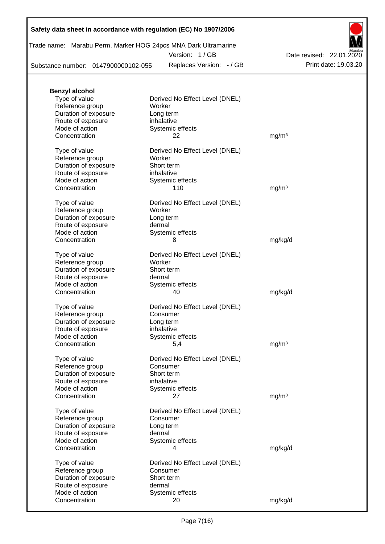|  | Trade name: Marabu Perm. Marker HOG 24pcs MNA Dark Ultramarine |  |
|--|----------------------------------------------------------------|--|
|  | Version: 1/GB                                                  |  |

Substance number: 0147900000102-055

Replaces Version: - / GB Print date: 19.03.20 Date revised: 22.01.2020

| <b>Benzyl alcohol</b> |                                |                   |
|-----------------------|--------------------------------|-------------------|
| Type of value         | Derived No Effect Level (DNEL) |                   |
| Reference group       | Worker                         |                   |
| Duration of exposure  | Long term                      |                   |
| Route of exposure     | inhalative                     |                   |
| Mode of action        | Systemic effects               |                   |
| Concentration         | 22                             | mg/m <sup>3</sup> |
|                       |                                |                   |
| Type of value         | Derived No Effect Level (DNEL) |                   |
| Reference group       | Worker                         |                   |
| Duration of exposure  | Short term                     |                   |
| Route of exposure     | inhalative                     |                   |
| Mode of action        | Systemic effects               |                   |
| Concentration         | 110                            | mg/m <sup>3</sup> |
|                       |                                |                   |
| Type of value         | Derived No Effect Level (DNEL) |                   |
| Reference group       | Worker                         |                   |
| Duration of exposure  | Long term                      |                   |
| Route of exposure     | dermal                         |                   |
| Mode of action        | Systemic effects               |                   |
| Concentration         | 8                              | mg/kg/d           |
|                       |                                |                   |
| Type of value         | Derived No Effect Level (DNEL) |                   |
| Reference group       | Worker                         |                   |
| Duration of exposure  | Short term                     |                   |
| Route of exposure     | dermal                         |                   |
| Mode of action        | Systemic effects               |                   |
| Concentration         | 40                             | mg/kg/d           |
|                       |                                |                   |
| Type of value         | Derived No Effect Level (DNEL) |                   |
| Reference group       | Consumer                       |                   |
| Duration of exposure  | Long term                      |                   |
| Route of exposure     | inhalative                     |                   |
| Mode of action        | Systemic effects               |                   |
| Concentration         | 5,4                            | mg/m <sup>3</sup> |
| Type of value         | Derived No Effect Level (DNEL) |                   |
| Reference group       | Consumer                       |                   |
| Duration of exposure  | Short term                     |                   |
| Route of exposure     | inhalative                     |                   |
| Mode of action        | Systemic effects               |                   |
| Concentration         | 27                             | mg/m <sup>3</sup> |
|                       |                                |                   |
| Type of value         | Derived No Effect Level (DNEL) |                   |
| Reference group       | Consumer                       |                   |
| Duration of exposure  | Long term                      |                   |
| Route of exposure     | dermal                         |                   |
| Mode of action        | Systemic effects               |                   |
| Concentration         | 4                              | mg/kg/d           |
|                       |                                |                   |
| Type of value         | Derived No Effect Level (DNEL) |                   |
| Reference group       | Consumer                       |                   |
| Duration of exposure  | Short term                     |                   |
| Route of exposure     | dermal                         |                   |
| Mode of action        | Systemic effects               |                   |
| Concentration         | 20                             | mg/kg/d           |
|                       |                                |                   |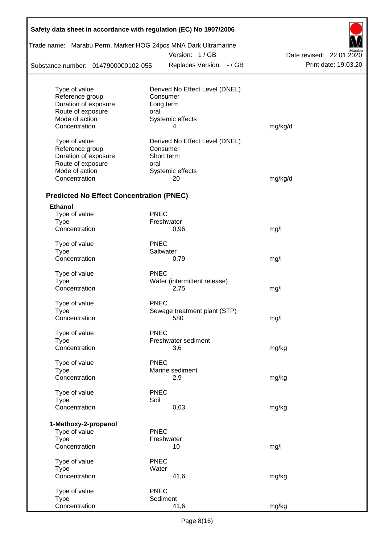| Safety data sheet in accordance with regulation (EC) No 1907/2006 |             |                                |                          |  |  |  |  |
|-------------------------------------------------------------------|-------------|--------------------------------|--------------------------|--|--|--|--|
| Trade name: Marabu Perm. Marker HOG 24pcs MNA Dark Ultramarine    |             | Version: 1/GB                  | Date revised: 22.01.2020 |  |  |  |  |
| Substance number: 0147900000102-055                               |             | Replaces Version: - / GB       | Print date: 19.03.20     |  |  |  |  |
|                                                                   |             |                                |                          |  |  |  |  |
| Type of value                                                     |             | Derived No Effect Level (DNEL) |                          |  |  |  |  |
| Reference group                                                   |             | Consumer                       |                          |  |  |  |  |
| Duration of exposure                                              |             | Long term                      |                          |  |  |  |  |
| Route of exposure                                                 | oral        |                                |                          |  |  |  |  |
| Mode of action                                                    |             | Systemic effects               |                          |  |  |  |  |
| Concentration                                                     |             | 4                              | mg/kg/d                  |  |  |  |  |
| Type of value                                                     |             | Derived No Effect Level (DNEL) |                          |  |  |  |  |
| Reference group                                                   |             | Consumer                       |                          |  |  |  |  |
| Duration of exposure                                              |             | Short term                     |                          |  |  |  |  |
| Route of exposure                                                 | oral        |                                |                          |  |  |  |  |
| Mode of action                                                    |             | Systemic effects               |                          |  |  |  |  |
| Concentration                                                     |             | 20                             | mg/kg/d                  |  |  |  |  |
| <b>Predicted No Effect Concentration (PNEC)</b>                   |             |                                |                          |  |  |  |  |
| Ethanol                                                           |             |                                |                          |  |  |  |  |
| Type of value                                                     | <b>PNEC</b> |                                |                          |  |  |  |  |
| <b>Type</b>                                                       |             | Freshwater                     |                          |  |  |  |  |
| Concentration                                                     |             | 0,96                           | mg/l                     |  |  |  |  |
| Type of value                                                     | <b>PNEC</b> |                                |                          |  |  |  |  |
| <b>Type</b>                                                       |             | Saltwater                      |                          |  |  |  |  |
| Concentration                                                     |             | 0,79                           | mg/l                     |  |  |  |  |
| Type of value                                                     | <b>PNEC</b> |                                |                          |  |  |  |  |
| <b>Type</b>                                                       |             | Water (intermittent release)   |                          |  |  |  |  |
| Concentration                                                     |             | 2,75                           | mg/l                     |  |  |  |  |
| Type of value                                                     | <b>PNEC</b> |                                |                          |  |  |  |  |
| Type                                                              |             | Sewage treatment plant (STP)   |                          |  |  |  |  |
| Concentration                                                     |             | 580                            | mg/l                     |  |  |  |  |
|                                                                   |             |                                |                          |  |  |  |  |
| Type of value                                                     | <b>PNEC</b> |                                |                          |  |  |  |  |
| <b>Type</b>                                                       |             | Freshwater sediment            |                          |  |  |  |  |
| Concentration                                                     |             | 3,6                            | mg/kg                    |  |  |  |  |
| Type of value                                                     | <b>PNEC</b> |                                |                          |  |  |  |  |
| <b>Type</b>                                                       |             | Marine sediment                |                          |  |  |  |  |
| Concentration                                                     |             | 2,9                            | mg/kg                    |  |  |  |  |
| Type of value                                                     | <b>PNEC</b> |                                |                          |  |  |  |  |
| <b>Type</b>                                                       | Soil        |                                |                          |  |  |  |  |
| Concentration                                                     |             | 0,63                           | mg/kg                    |  |  |  |  |
|                                                                   |             |                                |                          |  |  |  |  |
| 1-Methoxy-2-propanol                                              | <b>PNEC</b> |                                |                          |  |  |  |  |
| Type of value<br><b>Type</b>                                      |             | Freshwater                     |                          |  |  |  |  |
| Concentration                                                     |             | 10                             | mg/l                     |  |  |  |  |
|                                                                   |             |                                |                          |  |  |  |  |
| Type of value                                                     | <b>PNEC</b> |                                |                          |  |  |  |  |
| <b>Type</b><br>Concentration                                      | Water       | 41,6                           | mg/kg                    |  |  |  |  |
|                                                                   |             |                                |                          |  |  |  |  |
| Type of value                                                     | <b>PNEC</b> |                                |                          |  |  |  |  |
| <b>Type</b><br>Concentration                                      |             | Sediment<br>41,6               | mg/kg                    |  |  |  |  |
|                                                                   |             |                                |                          |  |  |  |  |

 $\Gamma$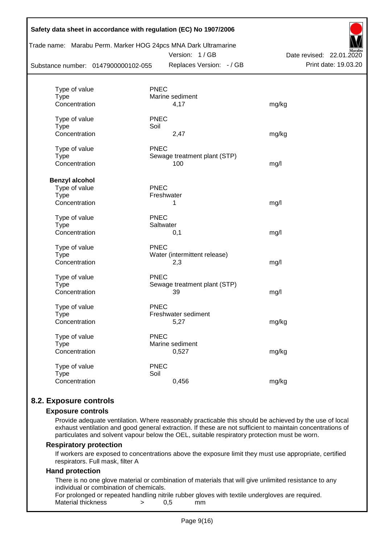| Trade name: Marabu Perm. Marker HOG 24pcs MNA Dark Ultramarine<br>Version: 1/GB<br>Date revised: 22.01.2020 |                              |                      |  |  |  |  |  |  |  |
|-------------------------------------------------------------------------------------------------------------|------------------------------|----------------------|--|--|--|--|--|--|--|
| Substance number: 0147900000102-055                                                                         | Replaces Version: - / GB     | Print date: 19.03.20 |  |  |  |  |  |  |  |
| Type of value                                                                                               | <b>PNEC</b>                  |                      |  |  |  |  |  |  |  |
| <b>Type</b>                                                                                                 | Marine sediment              |                      |  |  |  |  |  |  |  |
| Concentration                                                                                               | 4,17                         | mg/kg                |  |  |  |  |  |  |  |
| Type of value                                                                                               | <b>PNEC</b>                  |                      |  |  |  |  |  |  |  |
| <b>Type</b>                                                                                                 | Soil                         |                      |  |  |  |  |  |  |  |
| Concentration                                                                                               | 2,47                         | mg/kg                |  |  |  |  |  |  |  |
| Type of value                                                                                               | <b>PNEC</b>                  |                      |  |  |  |  |  |  |  |
| <b>Type</b>                                                                                                 | Sewage treatment plant (STP) |                      |  |  |  |  |  |  |  |
| Concentration                                                                                               | 100                          | mg/l                 |  |  |  |  |  |  |  |
| <b>Benzyl alcohol</b>                                                                                       |                              |                      |  |  |  |  |  |  |  |
| Type of value                                                                                               | <b>PNEC</b>                  |                      |  |  |  |  |  |  |  |
| <b>Type</b>                                                                                                 | Freshwater                   |                      |  |  |  |  |  |  |  |
| Concentration                                                                                               | 1                            | mg/l                 |  |  |  |  |  |  |  |
| Type of value                                                                                               | <b>PNEC</b>                  |                      |  |  |  |  |  |  |  |
| <b>Type</b>                                                                                                 | Saltwater                    |                      |  |  |  |  |  |  |  |
| Concentration                                                                                               | 0,1                          | mg/l                 |  |  |  |  |  |  |  |
| Type of value                                                                                               | <b>PNEC</b>                  |                      |  |  |  |  |  |  |  |
| Type                                                                                                        | Water (intermittent release) |                      |  |  |  |  |  |  |  |
| Concentration                                                                                               | 2,3                          | mg/l                 |  |  |  |  |  |  |  |
| Type of value                                                                                               | <b>PNEC</b>                  |                      |  |  |  |  |  |  |  |
| Type                                                                                                        | Sewage treatment plant (STP) |                      |  |  |  |  |  |  |  |
| Concentration                                                                                               | 39                           | mg/l                 |  |  |  |  |  |  |  |
| Type of value                                                                                               | <b>PNEC</b>                  |                      |  |  |  |  |  |  |  |
| Type                                                                                                        | Freshwater sediment          |                      |  |  |  |  |  |  |  |
| Concentration                                                                                               | 5,27                         | mg/kg                |  |  |  |  |  |  |  |
| Type of value                                                                                               | <b>PNEC</b>                  |                      |  |  |  |  |  |  |  |
| Type                                                                                                        | Marine sediment              |                      |  |  |  |  |  |  |  |
| Concentration                                                                                               | 0,527                        | mg/kg                |  |  |  |  |  |  |  |
| Type of value                                                                                               | <b>PNEC</b>                  |                      |  |  |  |  |  |  |  |
| <b>Type</b>                                                                                                 | Soil                         |                      |  |  |  |  |  |  |  |
| Concentration                                                                                               | 0,456                        | mg/kg                |  |  |  |  |  |  |  |

## **8.2. Exposure controls**

#### **Exposure controls**

Provide adequate ventilation. Where reasonably practicable this should be achieved by the use of local exhaust ventilation and good general extraction. If these are not sufficient to maintain concentrations of particulates and solvent vapour below the OEL, suitable respiratory protection must be worn.

#### **Respiratory protection**

If workers are exposed to concentrations above the exposure limit they must use appropriate, certified respirators. Full mask, filter A

#### **Hand protection**

There is no one glove material or combination of materials that will give unlimited resistance to any individual or combination of chemicals.

For prolonged or repeated handling nitrile rubber gloves with textile undergloves are required. Material thickness  $\rightarrow$  0.5 mm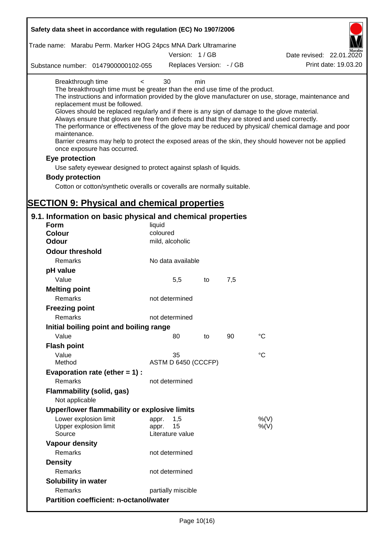| Safety data sheet in accordance with regulation (EC) No 1907/2006                                                                                                                                                                                                                                                                                                              |                                 |     |     |                                                                                                                                                                                                                                                                                                                    |
|--------------------------------------------------------------------------------------------------------------------------------------------------------------------------------------------------------------------------------------------------------------------------------------------------------------------------------------------------------------------------------|---------------------------------|-----|-----|--------------------------------------------------------------------------------------------------------------------------------------------------------------------------------------------------------------------------------------------------------------------------------------------------------------------|
| Trade name: Marabu Perm. Marker HOG 24pcs MNA Dark Ultramarine                                                                                                                                                                                                                                                                                                                 | Version: 1/GB                   |     |     | Date revised: 22.01.2020                                                                                                                                                                                                                                                                                           |
| Substance number: 0147900000102-055                                                                                                                                                                                                                                                                                                                                            | Replaces Version: - / GB        |     |     | Print date: 19.03.20                                                                                                                                                                                                                                                                                               |
| Breakthrough time<br>$\overline{\phantom{0}}$<br>The breakthrough time must be greater than the end use time of the product.<br>replacement must be followed.<br>Gloves should be replaced regularly and if there is any sign of damage to the glove material.<br>Always ensure that gloves are free from defects and that they are stored and used correctly.<br>maintenance. | 30                              | min |     | The instructions and information provided by the glove manufacturer on use, storage, maintenance and<br>The performance or effectiveness of the glove may be reduced by physical/ chemical damage and poor<br>Barrier creams may help to protect the exposed areas of the skin, they should however not be applied |
| once exposure has occurred.                                                                                                                                                                                                                                                                                                                                                    |                                 |     |     |                                                                                                                                                                                                                                                                                                                    |
| Eye protection                                                                                                                                                                                                                                                                                                                                                                 |                                 |     |     |                                                                                                                                                                                                                                                                                                                    |
| Use safety eyewear designed to protect against splash of liquids.                                                                                                                                                                                                                                                                                                              |                                 |     |     |                                                                                                                                                                                                                                                                                                                    |
| <b>Body protection</b>                                                                                                                                                                                                                                                                                                                                                         |                                 |     |     |                                                                                                                                                                                                                                                                                                                    |
| Cotton or cotton/synthetic overalls or coveralls are normally suitable.                                                                                                                                                                                                                                                                                                        |                                 |     |     |                                                                                                                                                                                                                                                                                                                    |
|                                                                                                                                                                                                                                                                                                                                                                                |                                 |     |     |                                                                                                                                                                                                                                                                                                                    |
| <b>SECTION 9: Physical and chemical properties</b>                                                                                                                                                                                                                                                                                                                             |                                 |     |     |                                                                                                                                                                                                                                                                                                                    |
| 9.1. Information on basic physical and chemical properties                                                                                                                                                                                                                                                                                                                     |                                 |     |     |                                                                                                                                                                                                                                                                                                                    |
| <b>Form</b>                                                                                                                                                                                                                                                                                                                                                                    | liquid                          |     |     |                                                                                                                                                                                                                                                                                                                    |
| <b>Colour</b>                                                                                                                                                                                                                                                                                                                                                                  | coloured                        |     |     |                                                                                                                                                                                                                                                                                                                    |
| <b>Odour</b>                                                                                                                                                                                                                                                                                                                                                                   | mild, alcoholic                 |     |     |                                                                                                                                                                                                                                                                                                                    |
| <b>Odour threshold</b>                                                                                                                                                                                                                                                                                                                                                         |                                 |     |     |                                                                                                                                                                                                                                                                                                                    |
| Remarks                                                                                                                                                                                                                                                                                                                                                                        | No data available               |     |     |                                                                                                                                                                                                                                                                                                                    |
| pH value                                                                                                                                                                                                                                                                                                                                                                       |                                 |     |     |                                                                                                                                                                                                                                                                                                                    |
| Value                                                                                                                                                                                                                                                                                                                                                                          | 5,5                             | to  | 7,5 |                                                                                                                                                                                                                                                                                                                    |
| <b>Melting point</b>                                                                                                                                                                                                                                                                                                                                                           |                                 |     |     |                                                                                                                                                                                                                                                                                                                    |
| Remarks                                                                                                                                                                                                                                                                                                                                                                        | not determined                  |     |     |                                                                                                                                                                                                                                                                                                                    |
| <b>Freezing point</b>                                                                                                                                                                                                                                                                                                                                                          |                                 |     |     |                                                                                                                                                                                                                                                                                                                    |
| Remarks                                                                                                                                                                                                                                                                                                                                                                        | not determined                  |     |     |                                                                                                                                                                                                                                                                                                                    |
| Initial boiling point and boiling range<br>Value                                                                                                                                                                                                                                                                                                                               |                                 |     | 90  | $\rm ^{\circ}C$                                                                                                                                                                                                                                                                                                    |
|                                                                                                                                                                                                                                                                                                                                                                                | 80                              | to  |     |                                                                                                                                                                                                                                                                                                                    |
| <b>Flash point</b><br>Value                                                                                                                                                                                                                                                                                                                                                    | 35                              |     |     | $\rm ^{\circ}C$                                                                                                                                                                                                                                                                                                    |
| Method                                                                                                                                                                                                                                                                                                                                                                         | ASTM D 6450 (CCCFP)             |     |     |                                                                                                                                                                                                                                                                                                                    |
| Evaporation rate (ether $= 1$ ) :                                                                                                                                                                                                                                                                                                                                              |                                 |     |     |                                                                                                                                                                                                                                                                                                                    |
| Remarks                                                                                                                                                                                                                                                                                                                                                                        | not determined                  |     |     |                                                                                                                                                                                                                                                                                                                    |
| <b>Flammability (solid, gas)</b><br>Not applicable                                                                                                                                                                                                                                                                                                                             |                                 |     |     |                                                                                                                                                                                                                                                                                                                    |
| Upper/lower flammability or explosive limits                                                                                                                                                                                                                                                                                                                                   |                                 |     |     |                                                                                                                                                                                                                                                                                                                    |
| Lower explosion limit                                                                                                                                                                                                                                                                                                                                                          | 1,5<br>appr.                    |     |     | %(V)                                                                                                                                                                                                                                                                                                               |
| Upper explosion limit<br>Source                                                                                                                                                                                                                                                                                                                                                | 15<br>appr.<br>Literature value |     |     | $%$ (V)                                                                                                                                                                                                                                                                                                            |
| <b>Vapour density</b>                                                                                                                                                                                                                                                                                                                                                          |                                 |     |     |                                                                                                                                                                                                                                                                                                                    |
| Remarks                                                                                                                                                                                                                                                                                                                                                                        | not determined                  |     |     |                                                                                                                                                                                                                                                                                                                    |
| <b>Density</b>                                                                                                                                                                                                                                                                                                                                                                 |                                 |     |     |                                                                                                                                                                                                                                                                                                                    |
|                                                                                                                                                                                                                                                                                                                                                                                | not determined                  |     |     |                                                                                                                                                                                                                                                                                                                    |
| Remarks                                                                                                                                                                                                                                                                                                                                                                        |                                 |     |     |                                                                                                                                                                                                                                                                                                                    |
| Solubility in water                                                                                                                                                                                                                                                                                                                                                            |                                 |     |     |                                                                                                                                                                                                                                                                                                                    |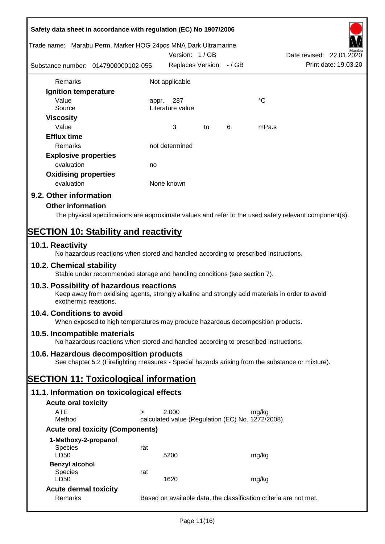| Safety data sheet in accordance with regulation (EC) No 1907/2006<br>Trade name: Marabu Perm. Marker HOG 24pcs MNA Dark Ultramarine                                   |        |                                                  |    |   |       |                                                                   |
|-----------------------------------------------------------------------------------------------------------------------------------------------------------------------|--------|--------------------------------------------------|----|---|-------|-------------------------------------------------------------------|
|                                                                                                                                                                       |        | Version: 1/GB                                    |    |   |       | Date revised: 22.01.2020                                          |
| Substance number: 0147900000102-055                                                                                                                                   |        | Replaces Version: - / GB                         |    |   |       | Print date: 19.03.20                                              |
| Remarks                                                                                                                                                               |        | Not applicable                                   |    |   |       |                                                                   |
| Ignition temperature                                                                                                                                                  |        |                                                  |    |   |       |                                                                   |
| Value                                                                                                                                                                 | appr.  | 287                                              |    |   | °C    |                                                                   |
| Source                                                                                                                                                                |        | Literature value                                 |    |   |       |                                                                   |
| <b>Viscosity</b>                                                                                                                                                      |        |                                                  |    |   |       |                                                                   |
| Value                                                                                                                                                                 |        | 3                                                | to | 6 | mPa.s |                                                                   |
| <b>Efflux time</b>                                                                                                                                                    |        |                                                  |    |   |       |                                                                   |
| <b>Remarks</b>                                                                                                                                                        |        | not determined                                   |    |   |       |                                                                   |
| <b>Explosive properties</b>                                                                                                                                           |        |                                                  |    |   |       |                                                                   |
| evaluation                                                                                                                                                            | no     |                                                  |    |   |       |                                                                   |
| <b>Oxidising properties</b>                                                                                                                                           |        |                                                  |    |   |       |                                                                   |
| evaluation                                                                                                                                                            |        | None known                                       |    |   |       |                                                                   |
| 9.2. Other information                                                                                                                                                |        |                                                  |    |   |       |                                                                   |
| <b>Other information</b>                                                                                                                                              |        |                                                  |    |   |       |                                                                   |
| The physical specifications are approximate values and refer to the used safety relevant component(s).                                                                |        |                                                  |    |   |       |                                                                   |
|                                                                                                                                                                       |        |                                                  |    |   |       |                                                                   |
| <b>SECTION 10: Stability and reactivity</b>                                                                                                                           |        |                                                  |    |   |       |                                                                   |
| 10.1. Reactivity<br>No hazardous reactions when stored and handled according to prescribed instructions.                                                              |        |                                                  |    |   |       |                                                                   |
| 10.2. Chemical stability<br>Stable under recommended storage and handling conditions (see section 7).                                                                 |        |                                                  |    |   |       |                                                                   |
| 10.3. Possibility of hazardous reactions<br>Keep away from oxidising agents, strongly alkaline and strongly acid materials in order to avoid<br>exothermic reactions. |        |                                                  |    |   |       |                                                                   |
| 10.4. Conditions to avoid<br>When exposed to high temperatures may produce hazardous decomposition products.                                                          |        |                                                  |    |   |       |                                                                   |
| 10.5. Incompatible materials<br>No hazardous reactions when stored and handled according to prescribed instructions.                                                  |        |                                                  |    |   |       |                                                                   |
| 10.6. Hazardous decomposition products                                                                                                                                |        |                                                  |    |   |       |                                                                   |
| See chapter 5.2 (Firefighting measures - Special hazards arising from the substance or mixture).                                                                      |        |                                                  |    |   |       |                                                                   |
| <b>SECTION 11: Toxicological information</b>                                                                                                                          |        |                                                  |    |   |       |                                                                   |
| 11.1. Information on toxicological effects                                                                                                                            |        |                                                  |    |   |       |                                                                   |
| <b>Acute oral toxicity</b>                                                                                                                                            |        |                                                  |    |   |       |                                                                   |
| <b>ATE</b>                                                                                                                                                            | $\geq$ | 2.000                                            |    |   | mg/kg |                                                                   |
| Method                                                                                                                                                                |        | calculated value (Regulation (EC) No. 1272/2008) |    |   |       |                                                                   |
| <b>Acute oral toxicity (Components)</b>                                                                                                                               |        |                                                  |    |   |       |                                                                   |
| 1-Methoxy-2-propanol                                                                                                                                                  |        |                                                  |    |   |       |                                                                   |
| Species                                                                                                                                                               | rat    |                                                  |    |   |       |                                                                   |
| LD50                                                                                                                                                                  |        | 5200                                             |    |   | mg/kg |                                                                   |
| <b>Benzyl alcohol</b>                                                                                                                                                 |        |                                                  |    |   |       |                                                                   |
| <b>Species</b><br>LD50                                                                                                                                                | rat    | 1620                                             |    |   | mg/kg |                                                                   |
| <b>Acute dermal toxicity</b>                                                                                                                                          |        |                                                  |    |   |       |                                                                   |
| Remarks                                                                                                                                                               |        |                                                  |    |   |       | Based on available data, the classification criteria are not met. |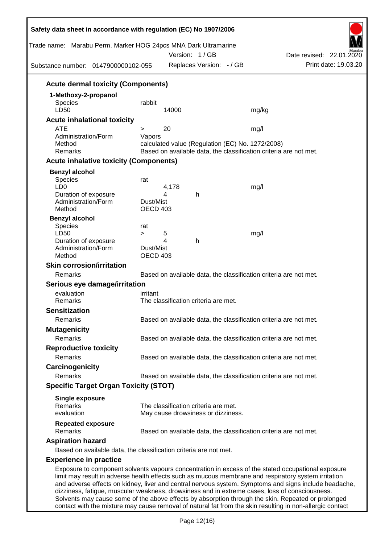| Trade name: Marabu Perm. Marker HOG 24pcs MNA Dark Ultramarine<br>Substance number: 0147900000102-055                                                                                                                                                                                                               |                                                                                                                       |        | Version: 1/GB<br>Replaces Version: - / GB |                                                                   | Date revised: 22.01.2020<br>Print date: 19.03.20 |
|---------------------------------------------------------------------------------------------------------------------------------------------------------------------------------------------------------------------------------------------------------------------------------------------------------------------|-----------------------------------------------------------------------------------------------------------------------|--------|-------------------------------------------|-------------------------------------------------------------------|--------------------------------------------------|
| <b>Acute dermal toxicity (Components)</b>                                                                                                                                                                                                                                                                           |                                                                                                                       |        |                                           |                                                                   |                                                  |
| 1-Methoxy-2-propanol                                                                                                                                                                                                                                                                                                |                                                                                                                       |        |                                           |                                                                   |                                                  |
| <b>Species</b>                                                                                                                                                                                                                                                                                                      | rabbit                                                                                                                |        |                                           |                                                                   |                                                  |
| LD50                                                                                                                                                                                                                                                                                                                |                                                                                                                       | 14000  |                                           | mg/kg                                                             |                                                  |
| <b>Acute inhalational toxicity</b>                                                                                                                                                                                                                                                                                  |                                                                                                                       |        |                                           |                                                                   |                                                  |
| <b>ATE</b>                                                                                                                                                                                                                                                                                                          | $\geq$                                                                                                                | 20     |                                           | mg/l                                                              |                                                  |
| Administration/Form                                                                                                                                                                                                                                                                                                 | Vapors                                                                                                                |        |                                           |                                                                   |                                                  |
| Method<br>Remarks                                                                                                                                                                                                                                                                                                   | calculated value (Regulation (EC) No. 1272/2008)<br>Based on available data, the classification criteria are not met. |        |                                           |                                                                   |                                                  |
| <b>Acute inhalative toxicity (Components)</b>                                                                                                                                                                                                                                                                       |                                                                                                                       |        |                                           |                                                                   |                                                  |
|                                                                                                                                                                                                                                                                                                                     |                                                                                                                       |        |                                           |                                                                   |                                                  |
| <b>Benzyl alcohol</b><br>Species                                                                                                                                                                                                                                                                                    |                                                                                                                       |        |                                           |                                                                   |                                                  |
| LD <sub>0</sub>                                                                                                                                                                                                                                                                                                     | rat                                                                                                                   | 4,178  |                                           | mg/l                                                              |                                                  |
| Duration of exposure                                                                                                                                                                                                                                                                                                |                                                                                                                       | 4      | h                                         |                                                                   |                                                  |
| Administration/Form                                                                                                                                                                                                                                                                                                 | Dust/Mist                                                                                                             |        |                                           |                                                                   |                                                  |
| Method                                                                                                                                                                                                                                                                                                              | <b>OECD 403</b>                                                                                                       |        |                                           |                                                                   |                                                  |
| <b>Benzyl alcohol</b>                                                                                                                                                                                                                                                                                               |                                                                                                                       |        |                                           |                                                                   |                                                  |
| Species                                                                                                                                                                                                                                                                                                             | rat                                                                                                                   |        |                                           |                                                                   |                                                  |
| LD50<br>Duration of exposure                                                                                                                                                                                                                                                                                        | $\geq$                                                                                                                | 5<br>4 | h                                         | mg/l                                                              |                                                  |
| Administration/Form                                                                                                                                                                                                                                                                                                 | Dust/Mist                                                                                                             |        |                                           |                                                                   |                                                  |
| Method                                                                                                                                                                                                                                                                                                              | <b>OECD 403</b>                                                                                                       |        |                                           |                                                                   |                                                  |
| <b>Skin corrosion/irritation</b>                                                                                                                                                                                                                                                                                    |                                                                                                                       |        |                                           |                                                                   |                                                  |
| Remarks                                                                                                                                                                                                                                                                                                             |                                                                                                                       |        |                                           | Based on available data, the classification criteria are not met. |                                                  |
| Serious eye damage/irritation                                                                                                                                                                                                                                                                                       |                                                                                                                       |        |                                           |                                                                   |                                                  |
| evaluation                                                                                                                                                                                                                                                                                                          | irritant                                                                                                              |        |                                           |                                                                   |                                                  |
| Remarks                                                                                                                                                                                                                                                                                                             |                                                                                                                       |        | The classification criteria are met.      |                                                                   |                                                  |
| <b>Sensitization</b>                                                                                                                                                                                                                                                                                                |                                                                                                                       |        |                                           |                                                                   |                                                  |
| Remarks                                                                                                                                                                                                                                                                                                             |                                                                                                                       |        |                                           | Based on available data, the classification criteria are not met. |                                                  |
| <b>Mutagenicity</b>                                                                                                                                                                                                                                                                                                 |                                                                                                                       |        |                                           |                                                                   |                                                  |
| Remarks                                                                                                                                                                                                                                                                                                             |                                                                                                                       |        |                                           | Based on available data, the classification criteria are not met. |                                                  |
| <b>Reproductive toxicity</b>                                                                                                                                                                                                                                                                                        |                                                                                                                       |        |                                           |                                                                   |                                                  |
| Remarks                                                                                                                                                                                                                                                                                                             |                                                                                                                       |        |                                           | Based on available data, the classification criteria are not met. |                                                  |
| Carcinogenicity                                                                                                                                                                                                                                                                                                     |                                                                                                                       |        |                                           |                                                                   |                                                  |
| Remarks                                                                                                                                                                                                                                                                                                             |                                                                                                                       |        |                                           | Based on available data, the classification criteria are not met. |                                                  |
| <b>Specific Target Organ Toxicity (STOT)</b>                                                                                                                                                                                                                                                                        |                                                                                                                       |        |                                           |                                                                   |                                                  |
|                                                                                                                                                                                                                                                                                                                     |                                                                                                                       |        |                                           |                                                                   |                                                  |
| <b>Single exposure</b><br>Remarks                                                                                                                                                                                                                                                                                   |                                                                                                                       |        | The classification criteria are met.      |                                                                   |                                                  |
| evaluation                                                                                                                                                                                                                                                                                                          |                                                                                                                       |        | May cause drowsiness or dizziness.        |                                                                   |                                                  |
| <b>Repeated exposure</b><br>Remarks                                                                                                                                                                                                                                                                                 |                                                                                                                       |        |                                           | Based on available data, the classification criteria are not met. |                                                  |
| <b>Aspiration hazard</b>                                                                                                                                                                                                                                                                                            |                                                                                                                       |        |                                           |                                                                   |                                                  |
|                                                                                                                                                                                                                                                                                                                     |                                                                                                                       |        |                                           |                                                                   |                                                  |
| Based on available data, the classification criteria are not met.                                                                                                                                                                                                                                                   |                                                                                                                       |        |                                           |                                                                   |                                                  |
| <b>Experience in practice</b>                                                                                                                                                                                                                                                                                       |                                                                                                                       |        |                                           |                                                                   |                                                  |
| Exposure to component solvents vapours concentration in excess of the stated occupational exposure<br>limit may result in adverse health effects such as mucous membrane and respiratory system irritation<br>and adverse effects on kidney, liver and central nervous system. Symptoms and signs include headache, |                                                                                                                       |        |                                           |                                                                   |                                                  |

dizziness, fatigue, muscular weakness, drowsiness and in extreme cases, loss of consciousness. Solvents may cause some of the above effects by absorption through the skin. Repeated or prolonged contact with the mixture may cause removal of natural fat from the skin resulting in non-allergic contact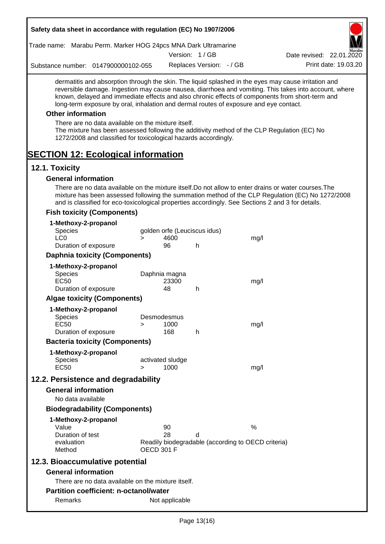| Safety data sheet in accordance with regulation (EC) No 1907/2006                                                                                                                                                                                                                                                                                                                                                                                                                                                                                                                                 |                   |                            |                              |                                                    |                                                                                                       |
|---------------------------------------------------------------------------------------------------------------------------------------------------------------------------------------------------------------------------------------------------------------------------------------------------------------------------------------------------------------------------------------------------------------------------------------------------------------------------------------------------------------------------------------------------------------------------------------------------|-------------------|----------------------------|------------------------------|----------------------------------------------------|-------------------------------------------------------------------------------------------------------|
| Trade name: Marabu Perm. Marker HOG 24pcs MNA Dark Ultramarine                                                                                                                                                                                                                                                                                                                                                                                                                                                                                                                                    |                   |                            |                              |                                                    |                                                                                                       |
|                                                                                                                                                                                                                                                                                                                                                                                                                                                                                                                                                                                                   |                   |                            | Version: 1/GB                |                                                    | Date revised: 22.01.2020                                                                              |
| Substance number: 0147900000102-055                                                                                                                                                                                                                                                                                                                                                                                                                                                                                                                                                               |                   |                            | Replaces Version: - / GB     |                                                    | Print date: 19.03.20                                                                                  |
| dermatitis and absorption through the skin. The liquid splashed in the eyes may cause irritation and<br>known, delayed and immediate effects and also chronic effects of components from short-term and<br>long-term exposure by oral, inhalation and dermal routes of exposure and eye contact.<br><b>Other information</b><br>There are no data available on the mixture itself.<br>The mixture has been assessed following the additivity method of the CLP Regulation (EC) No<br>1272/2008 and classified for toxicological hazards accordingly.<br><b>SECTION 12: Ecological information</b> |                   |                            |                              |                                                    | reversible damage. Ingestion may cause nausea, diarrhoea and vomiting. This takes into account, where |
| 12.1. Toxicity                                                                                                                                                                                                                                                                                                                                                                                                                                                                                                                                                                                    |                   |                            |                              |                                                    |                                                                                                       |
| <b>General information</b>                                                                                                                                                                                                                                                                                                                                                                                                                                                                                                                                                                        |                   |                            |                              |                                                    |                                                                                                       |
| There are no data available on the mixture itself. Do not allow to enter drains or water courses. The<br>and is classified for eco-toxicological properties accordingly. See Sections 2 and 3 for details.                                                                                                                                                                                                                                                                                                                                                                                        |                   |                            |                              |                                                    | mixture has been assessed following the summation method of the CLP Regulation (EC) No 1272/2008      |
| <b>Fish toxicity (Components)</b>                                                                                                                                                                                                                                                                                                                                                                                                                                                                                                                                                                 |                   |                            |                              |                                                    |                                                                                                       |
| 1-Methoxy-2-propanol<br>Species<br>LC <sub>0</sub>                                                                                                                                                                                                                                                                                                                                                                                                                                                                                                                                                | $\geq$            | 4600                       | golden orfe (Leuciscus idus) | mg/l                                               |                                                                                                       |
| Duration of exposure                                                                                                                                                                                                                                                                                                                                                                                                                                                                                                                                                                              |                   | 96                         | h                            |                                                    |                                                                                                       |
| <b>Daphnia toxicity (Components)</b>                                                                                                                                                                                                                                                                                                                                                                                                                                                                                                                                                              |                   |                            |                              |                                                    |                                                                                                       |
| 1-Methoxy-2-propanol<br><b>Species</b><br><b>EC50</b>                                                                                                                                                                                                                                                                                                                                                                                                                                                                                                                                             |                   | Daphnia magna<br>23300     |                              | mg/l                                               |                                                                                                       |
| Duration of exposure                                                                                                                                                                                                                                                                                                                                                                                                                                                                                                                                                                              |                   | 48                         | h                            |                                                    |                                                                                                       |
| <b>Algae toxicity (Components)</b>                                                                                                                                                                                                                                                                                                                                                                                                                                                                                                                                                                |                   |                            |                              |                                                    |                                                                                                       |
| 1-Methoxy-2-propanol<br><b>Species</b><br><b>EC50</b><br>Duration of exposure                                                                                                                                                                                                                                                                                                                                                                                                                                                                                                                     | >                 | Desmodesmus<br>1000<br>168 | h                            | mg/l                                               |                                                                                                       |
| <b>Bacteria toxicity (Components)</b>                                                                                                                                                                                                                                                                                                                                                                                                                                                                                                                                                             |                   |                            |                              |                                                    |                                                                                                       |
| 1-Methoxy-2-propanol<br><b>Species</b><br><b>EC50</b>                                                                                                                                                                                                                                                                                                                                                                                                                                                                                                                                             | $\geq$            | activated sludge<br>1000   |                              | mg/l                                               |                                                                                                       |
| 12.2. Persistence and degradability                                                                                                                                                                                                                                                                                                                                                                                                                                                                                                                                                               |                   |                            |                              |                                                    |                                                                                                       |
| <b>General information</b><br>No data available                                                                                                                                                                                                                                                                                                                                                                                                                                                                                                                                                   |                   |                            |                              |                                                    |                                                                                                       |
| <b>Biodegradability (Components)</b>                                                                                                                                                                                                                                                                                                                                                                                                                                                                                                                                                              |                   |                            |                              |                                                    |                                                                                                       |
| 1-Methoxy-2-propanol                                                                                                                                                                                                                                                                                                                                                                                                                                                                                                                                                                              |                   |                            |                              |                                                    |                                                                                                       |
| Value                                                                                                                                                                                                                                                                                                                                                                                                                                                                                                                                                                                             |                   | 90                         |                              | $\%$                                               |                                                                                                       |
| Duration of test<br>evaluation<br>Method                                                                                                                                                                                                                                                                                                                                                                                                                                                                                                                                                          | <b>OECD 301 F</b> | 28                         | d                            | Readily biodegradable (according to OECD criteria) |                                                                                                       |
| 12.3. Bioaccumulative potential                                                                                                                                                                                                                                                                                                                                                                                                                                                                                                                                                                   |                   |                            |                              |                                                    |                                                                                                       |
| <b>General information</b>                                                                                                                                                                                                                                                                                                                                                                                                                                                                                                                                                                        |                   |                            |                              |                                                    |                                                                                                       |
| There are no data available on the mixture itself.                                                                                                                                                                                                                                                                                                                                                                                                                                                                                                                                                |                   |                            |                              |                                                    |                                                                                                       |
| <b>Partition coefficient: n-octanol/water</b>                                                                                                                                                                                                                                                                                                                                                                                                                                                                                                                                                     |                   |                            |                              |                                                    |                                                                                                       |
| Remarks                                                                                                                                                                                                                                                                                                                                                                                                                                                                                                                                                                                           |                   | Not applicable             |                              |                                                    |                                                                                                       |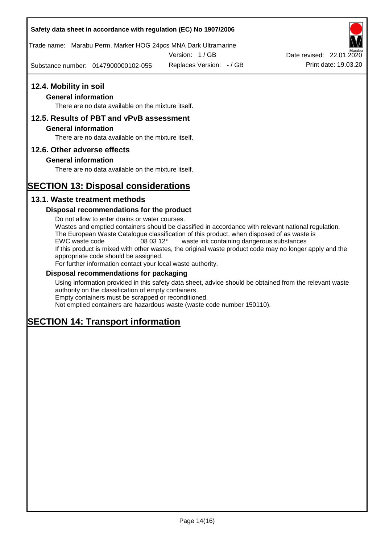Trade name: Marabu Perm. Marker HOG 24pcs MNA Dark Ultramarine

Version: 1 / GB

Substance number: 0147900000102-055



### **General information**

There are no data available on the mixture itself.

## **12.5. Results of PBT and vPvB assessment**

### **General information**

There are no data available on the mixture itself.

### **12.6. Other adverse effects**

### **General information**

There are no data available on the mixture itself.

# **SECTION 13: Disposal considerations**

### **13.1. Waste treatment methods**

### **Disposal recommendations for the product**

Do not allow to enter drains or water courses. Wastes and emptied containers should be classified in accordance with relevant national regulation. The European Waste Catalogue classification of this product, when disposed of as waste is EWC waste code 08 03 12\* waste ink containing dangerous substances If this product is mixed with other wastes, the original waste product code may no longer apply and the appropriate code should be assigned. For further information contact your local waste authority.

### **Disposal recommendations for packaging**

Using information provided in this safety data sheet, advice should be obtained from the relevant waste authority on the classification of empty containers. Empty containers must be scrapped or reconditioned.

Not emptied containers are hazardous waste (waste code number 150110).

# **SECTION 14: Transport information**

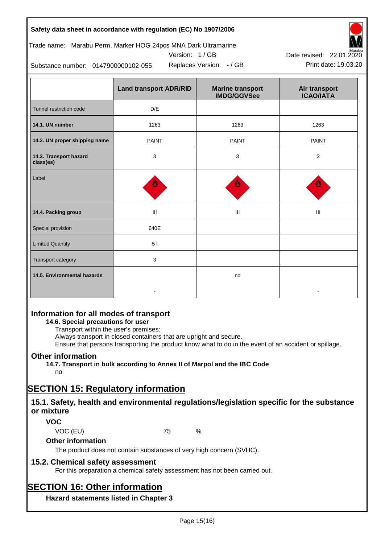

Version: 1 / GB



Replaces Version:  $-$  / GB Print date: 19.03.20 Date revised: 22.01.2020

Substance number: 0147900000102-055

|                                     | <b>Land transport ADR/RID</b> | <b>Marine transport</b><br><b>IMDG/GGVSee</b> | Air transport<br><b>ICAO/IATA</b> |
|-------------------------------------|-------------------------------|-----------------------------------------------|-----------------------------------|
| Tunnel restriction code             | $\mathsf{D}/\mathsf{E}$       |                                               |                                   |
| 14.1. UN number                     | 1263                          | 1263                                          | 1263                              |
| 14.2. UN proper shipping name       | <b>PAINT</b>                  | <b>PAINT</b>                                  | <b>PAINT</b>                      |
| 14.3. Transport hazard<br>class(es) | 3                             | 3                                             | 3                                 |
| Label                               |                               |                                               |                                   |
| 14.4. Packing group                 | Ш                             | Ш                                             | Ш                                 |
| Special provision                   | 640E                          |                                               |                                   |
| <b>Limited Quantity</b>             | 51                            |                                               |                                   |
| Transport category                  | 3                             |                                               |                                   |
| 14.5. Environmental hazards         |                               | no                                            |                                   |

# **Information for all modes of transport**

### **14.6. Special precautions for user**

Transport within the user's premises:

Always transport in closed containers that are upright and secure.

Ensure that persons transporting the product know what to do in the event of an accident or spillage.

## **Other information**

**14.7. Transport in bulk according to Annex II of Marpol and the IBC Code**

# no

# **SECTION 15: Regulatory information**

## **15.1. Safety, health and environmental regulations/legislation specific for the substance or mixture**

## **VOC**

VOC (EU) 75 %

## **Other information**

The product does not contain substances of very high concern (SVHC).

## **15.2. Chemical safety assessment**

For this preparation a chemical safety assessment has not been carried out.

# **SECTION 16: Other information**

**Hazard statements listed in Chapter 3**